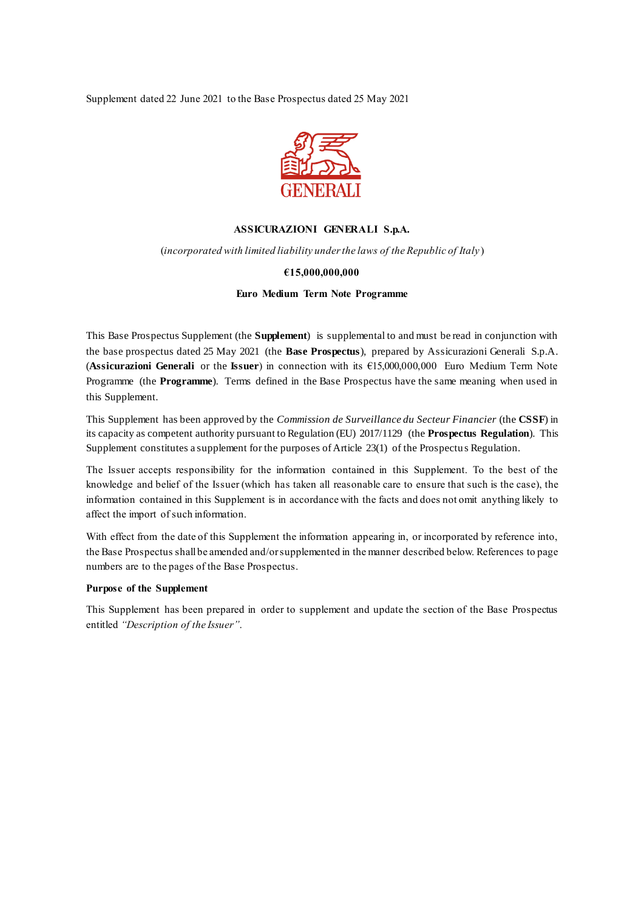Supplement dated 22 June 2021 to the Base Prospectus dated 25 May 2021



## **ASSICURAZIONI GENERALI S.p.A.**

(*incorporated with limited liability under the laws of the Republic of Italy*)

### **€15,000,000,000**

**Euro Medium Term Note Programme**

This Base Prospectus Supplement (the **Supplement**) is supplemental to and must be read in conjunction with the base prospectus dated 25 May 2021 (the **Base Prospectus**), prepared by Assicurazioni Generali S.p.A. (**Assicurazioni Generali** or the **Issuer**) in connection with its €15,000,000,000 Euro Medium Term Note Programme (the **Programme**). Terms defined in the Base Prospectus have the same meaning when used in this Supplement.

This Supplement has been approved by the *Commission de Surveillance du Secteur Financier* (the **CSSF**) in its capacity as competent authority pursuant to Regulation (EU) 2017/1129 (the **Prospectus Regulation**). This Supplement constitutes a supplement for the purposes of Article 23(1) of the Prospectu s Regulation.

The Issuer accepts responsibility for the information contained in this Supplement. To the best of the knowledge and belief of the Issuer (which has taken all reasonable care to ensure that such is the case), the information contained in this Supplement is in accordance with the facts and does not omit anything likely to affect the import of such information.

With effect from the date of this Supplement the information appearing in, or incorporated by reference into, the Base Prospectus shall be amended and/or supplemented in the manner described below. References to page numbers are to the pages of the Base Prospectus.

### **Purpose of the Supplement**

This Supplement has been prepared in order to supplement and update the section of the Base Prospectus entitled *"Description of the Issuer"*.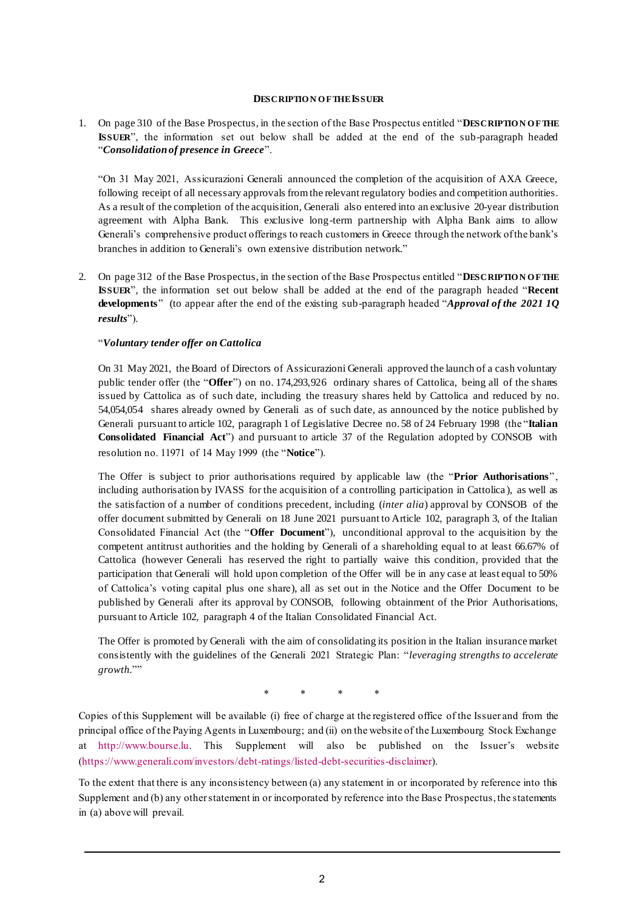### **DESCRIPTIO N O F THE ISSUER**

1. On page 310 of the Base Prospectus, in the section of the Base Prospectus entitled "**DESCRIPTIO N O F THE ISSUER**", the information set out below shall be added at the end of the sub-paragraph headed "*Consolidation of presence in Greece*".

"On 31 May 2021, Assicurazioni Generali announced the completion of the acquisition of AXA Greece, following receipt of all necessary approvals from the relevant regulatory bodies and competition authorities. As a result of the completion of the acquisition, Generali also entered into an exclusive 20-year distribution agreement with Alpha Bank. This exclusive long-term partnership with Alpha Bank aims to allow Generali's comprehensive product offerings to reach customers in Greece through the network of the bank's branches in addition to Generali's own extensive distribution network."

2. On page 312 of the Base Prospectus, in the section of the Base Prospectus entitled "DESCRIPTION OF THE **ISSUER**", the information set out below shall be added at the end of the paragraph headed "**Recent developments**" (to appear after the end of the existing sub-paragraph headed "*Approval of the 2021 1Q results*").

# "*Voluntary tender offer on Cattolica*

On 31 May 2021, the Board of Directors of Assicurazioni Generali approved the launch of a cash voluntary public tender offer (the "**Offer**") on no. 174,293,926 ordinary shares of Cattolica, being all of the shares issued by Cattolica as of such date, including the treasury shares held by Cattolica and reduced by no. 54,054,054 shares already owned by Generali as of such date, as announced by the notice published by Generali pursuant to article 102, paragraph 1 of Legislative Decree no. 58 of 24 February 1998 (the "**Italian Consolidated Financial Act**") and pursuant to article 37 of the Regulation adopted by CONSOB with resolution no. 11971 of 14 May 1999 (the "**Notice**").

The Offer is subject to prior authorisations required by applicable law (the "**Prior Authorisations**", including authorisation by IVASS for the acquisition of a controlling participation in Cattolica ), as well as the satisfaction of a number of conditions precedent, including (*inter alia*) approval by CONSOB of the offer document submitted by Generali on 18 June 2021 pursuant to Article 102, paragraph 3, of the Italian Consolidated Financial Act (the "**Offer Document**"), unconditional approval to the acquisition by the competent antitrust authorities and the holding by Generali of a shareholding equal to at least 66.67% of Cattolica (however Generali has reserved the right to partially waive this condition, provided that the participation that Generali will hold upon completion of the Offer will be in any case at least equal to 50% of Cattolica's voting capital plus one share), all as set out in the Notice and the Offer Document to be published by Generali after its approval by CONSOB, following obtainment of the Prior Authorisations, pursuant to Article 102, paragraph 4 of the Italian Consolidated Financial Act.

The Offer is promoted by Generali with the aim of consolidating its position in the Italian insurance market consistently with the guidelines of the Generali 2021 Strategic Plan: "*leveraging strengths to accelerate growth.*""

\* \* \* \*

Copies of this Supplement will be available (i) free of charge at the registered office of the Issuer and from the principal office of the Paying Agents in Luxembourg; and (ii) on the website of the Luxembourg Stock Exchange at [http://www.bourse.lu.](http://www.bourse.lu/) This Supplement will also be published on the Issuer's website [\(https://www.generali.com/investors/debt-ratings/listed-debt-securities-disclaimer\)](https://www.generali.com/investors/debt-ratings/listed-debt-securities-disclaimer).

To the extent that there is any inconsistency between (a) any statement in or incorporated by reference into this Supplement and (b) any other statement in or incorporated by reference into the Base Prospectus, the statements in (a) above will prevail.